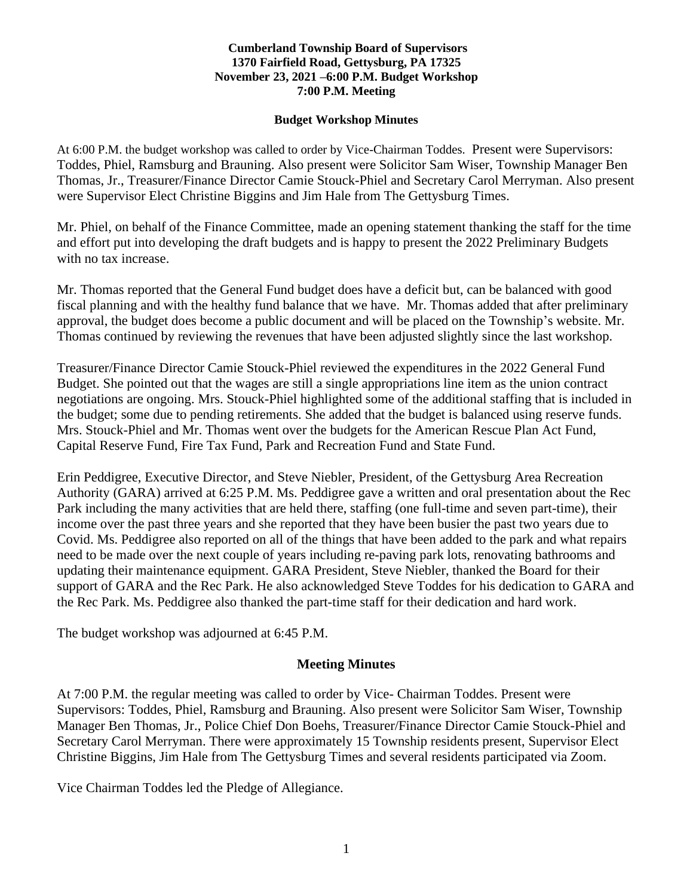#### **Cumberland Township Board of Supervisors 1370 Fairfield Road, Gettysburg, PA 17325 November 23, 2021 –6:00 P.M. Budget Workshop 7:00 P.M. Meeting**

#### **Budget Workshop Minutes**

At 6:00 P.M. the budget workshop was called to order by Vice-Chairman Toddes. Present were Supervisors: Toddes, Phiel, Ramsburg and Brauning. Also present were Solicitor Sam Wiser, Township Manager Ben Thomas, Jr., Treasurer/Finance Director Camie Stouck-Phiel and Secretary Carol Merryman. Also present were Supervisor Elect Christine Biggins and Jim Hale from The Gettysburg Times.

Mr. Phiel, on behalf of the Finance Committee, made an opening statement thanking the staff for the time and effort put into developing the draft budgets and is happy to present the 2022 Preliminary Budgets with no tax increase.

Mr. Thomas reported that the General Fund budget does have a deficit but, can be balanced with good fiscal planning and with the healthy fund balance that we have. Mr. Thomas added that after preliminary approval, the budget does become a public document and will be placed on the Township's website. Mr. Thomas continued by reviewing the revenues that have been adjusted slightly since the last workshop.

Treasurer/Finance Director Camie Stouck-Phiel reviewed the expenditures in the 2022 General Fund Budget. She pointed out that the wages are still a single appropriations line item as the union contract negotiations are ongoing. Mrs. Stouck-Phiel highlighted some of the additional staffing that is included in the budget; some due to pending retirements. She added that the budget is balanced using reserve funds. Mrs. Stouck-Phiel and Mr. Thomas went over the budgets for the American Rescue Plan Act Fund, Capital Reserve Fund, Fire Tax Fund, Park and Recreation Fund and State Fund.

Erin Peddigree, Executive Director, and Steve Niebler, President, of the Gettysburg Area Recreation Authority (GARA) arrived at 6:25 P.M. Ms. Peddigree gave a written and oral presentation about the Rec Park including the many activities that are held there, staffing (one full-time and seven part-time), their income over the past three years and she reported that they have been busier the past two years due to Covid. Ms. Peddigree also reported on all of the things that have been added to the park and what repairs need to be made over the next couple of years including re-paving park lots, renovating bathrooms and updating their maintenance equipment. GARA President, Steve Niebler, thanked the Board for their support of GARA and the Rec Park. He also acknowledged Steve Toddes for his dedication to GARA and the Rec Park. Ms. Peddigree also thanked the part-time staff for their dedication and hard work.

The budget workshop was adjourned at 6:45 P.M.

# **Meeting Minutes**

At 7:00 P.M. the regular meeting was called to order by Vice- Chairman Toddes. Present were Supervisors: Toddes, Phiel, Ramsburg and Brauning. Also present were Solicitor Sam Wiser, Township Manager Ben Thomas, Jr., Police Chief Don Boehs, Treasurer/Finance Director Camie Stouck-Phiel and Secretary Carol Merryman. There were approximately 15 Township residents present, Supervisor Elect Christine Biggins, Jim Hale from The Gettysburg Times and several residents participated via Zoom.

Vice Chairman Toddes led the Pledge of Allegiance.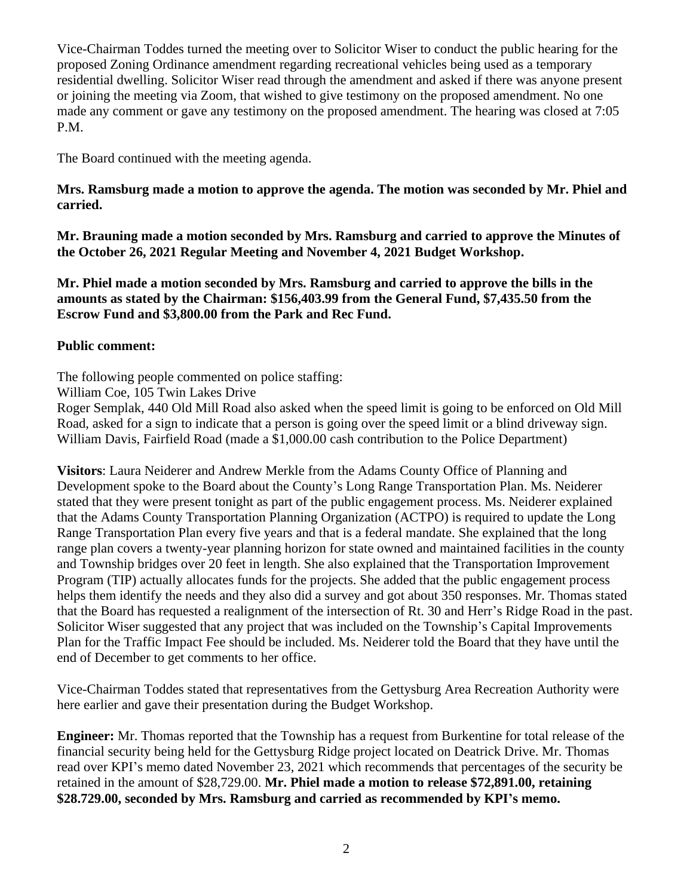Vice-Chairman Toddes turned the meeting over to Solicitor Wiser to conduct the public hearing for the proposed Zoning Ordinance amendment regarding recreational vehicles being used as a temporary residential dwelling. Solicitor Wiser read through the amendment and asked if there was anyone present or joining the meeting via Zoom, that wished to give testimony on the proposed amendment. No one made any comment or gave any testimony on the proposed amendment. The hearing was closed at 7:05 P.M.

The Board continued with the meeting agenda.

## **Mrs. Ramsburg made a motion to approve the agenda. The motion was seconded by Mr. Phiel and carried.**

**Mr. Brauning made a motion seconded by Mrs. Ramsburg and carried to approve the Minutes of the October 26, 2021 Regular Meeting and November 4, 2021 Budget Workshop.**

**Mr. Phiel made a motion seconded by Mrs. Ramsburg and carried to approve the bills in the amounts as stated by the Chairman: \$156,403.99 from the General Fund, \$7,435.50 from the Escrow Fund and \$3,800.00 from the Park and Rec Fund.**

### **Public comment:**

The following people commented on police staffing:

William Coe, 105 Twin Lakes Drive

Roger Semplak, 440 Old Mill Road also asked when the speed limit is going to be enforced on Old Mill Road, asked for a sign to indicate that a person is going over the speed limit or a blind driveway sign. William Davis, Fairfield Road (made a \$1,000.00 cash contribution to the Police Department)

**Visitors**: Laura Neiderer and Andrew Merkle from the Adams County Office of Planning and Development spoke to the Board about the County's Long Range Transportation Plan. Ms. Neiderer stated that they were present tonight as part of the public engagement process. Ms. Neiderer explained that the Adams County Transportation Planning Organization (ACTPO) is required to update the Long Range Transportation Plan every five years and that is a federal mandate. She explained that the long range plan covers a twenty-year planning horizon for state owned and maintained facilities in the county and Township bridges over 20 feet in length. She also explained that the Transportation Improvement Program (TIP) actually allocates funds for the projects. She added that the public engagement process helps them identify the needs and they also did a survey and got about 350 responses. Mr. Thomas stated that the Board has requested a realignment of the intersection of Rt. 30 and Herr's Ridge Road in the past. Solicitor Wiser suggested that any project that was included on the Township's Capital Improvements Plan for the Traffic Impact Fee should be included. Ms. Neiderer told the Board that they have until the end of December to get comments to her office.

Vice-Chairman Toddes stated that representatives from the Gettysburg Area Recreation Authority were here earlier and gave their presentation during the Budget Workshop.

**Engineer:** Mr. Thomas reported that the Township has a request from Burkentine for total release of the financial security being held for the Gettysburg Ridge project located on Deatrick Drive. Mr. Thomas read over KPI's memo dated November 23, 2021 which recommends that percentages of the security be retained in the amount of \$28,729.00. **Mr. Phiel made a motion to release \$72,891.00, retaining \$28.729.00, seconded by Mrs. Ramsburg and carried as recommended by KPI's memo.**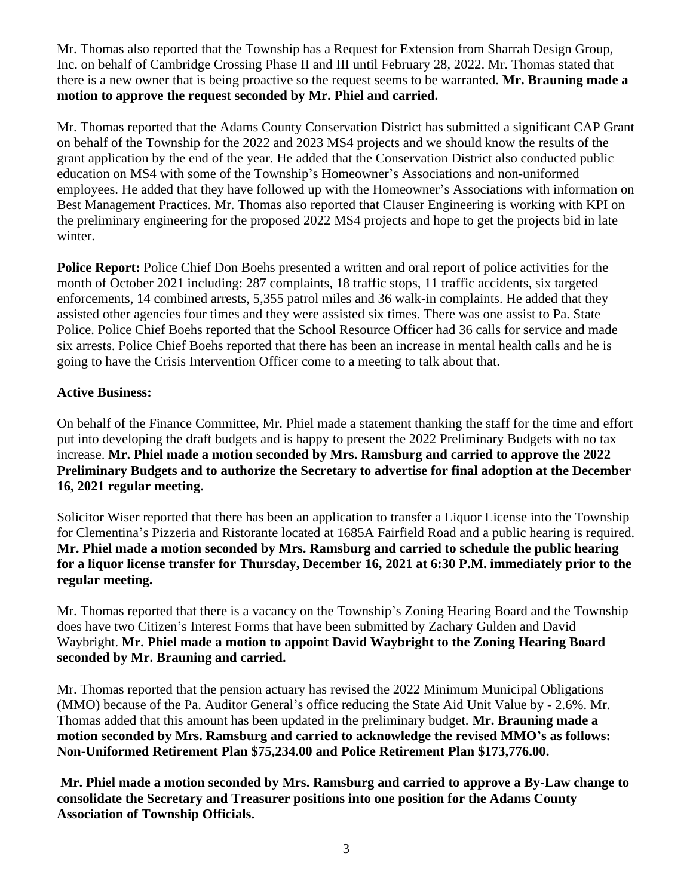Mr. Thomas also reported that the Township has a Request for Extension from Sharrah Design Group, Inc. on behalf of Cambridge Crossing Phase II and III until February 28, 2022. Mr. Thomas stated that there is a new owner that is being proactive so the request seems to be warranted. **Mr. Brauning made a motion to approve the request seconded by Mr. Phiel and carried.**

Mr. Thomas reported that the Adams County Conservation District has submitted a significant CAP Grant on behalf of the Township for the 2022 and 2023 MS4 projects and we should know the results of the grant application by the end of the year. He added that the Conservation District also conducted public education on MS4 with some of the Township's Homeowner's Associations and non-uniformed employees. He added that they have followed up with the Homeowner's Associations with information on Best Management Practices. Mr. Thomas also reported that Clauser Engineering is working with KPI on the preliminary engineering for the proposed 2022 MS4 projects and hope to get the projects bid in late winter.

**Police Report:** Police Chief Don Boehs presented a written and oral report of police activities for the month of October 2021 including: 287 complaints, 18 traffic stops, 11 traffic accidents, six targeted enforcements, 14 combined arrests, 5,355 patrol miles and 36 walk-in complaints. He added that they assisted other agencies four times and they were assisted six times. There was one assist to Pa. State Police. Police Chief Boehs reported that the School Resource Officer had 36 calls for service and made six arrests. Police Chief Boehs reported that there has been an increase in mental health calls and he is going to have the Crisis Intervention Officer come to a meeting to talk about that.

# **Active Business:**

On behalf of the Finance Committee, Mr. Phiel made a statement thanking the staff for the time and effort put into developing the draft budgets and is happy to present the 2022 Preliminary Budgets with no tax increase. **Mr. Phiel made a motion seconded by Mrs. Ramsburg and carried to approve the 2022 Preliminary Budgets and to authorize the Secretary to advertise for final adoption at the December 16, 2021 regular meeting.**

Solicitor Wiser reported that there has been an application to transfer a Liquor License into the Township for Clementina's Pizzeria and Ristorante located at 1685A Fairfield Road and a public hearing is required. **Mr. Phiel made a motion seconded by Mrs. Ramsburg and carried to schedule the public hearing for a liquor license transfer for Thursday, December 16, 2021 at 6:30 P.M. immediately prior to the regular meeting.** 

Mr. Thomas reported that there is a vacancy on the Township's Zoning Hearing Board and the Township does have two Citizen's Interest Forms that have been submitted by Zachary Gulden and David Waybright. **Mr. Phiel made a motion to appoint David Waybright to the Zoning Hearing Board seconded by Mr. Brauning and carried.** 

Mr. Thomas reported that the pension actuary has revised the 2022 Minimum Municipal Obligations (MMO) because of the Pa. Auditor General's office reducing the State Aid Unit Value by - 2.6%. Mr. Thomas added that this amount has been updated in the preliminary budget. **Mr. Brauning made a motion seconded by Mrs. Ramsburg and carried to acknowledge the revised MMO's as follows: Non-Uniformed Retirement Plan \$75,234.00 and Police Retirement Plan \$173,776.00.** 

**Mr. Phiel made a motion seconded by Mrs. Ramsburg and carried to approve a By-Law change to consolidate the Secretary and Treasurer positions into one position for the Adams County Association of Township Officials.**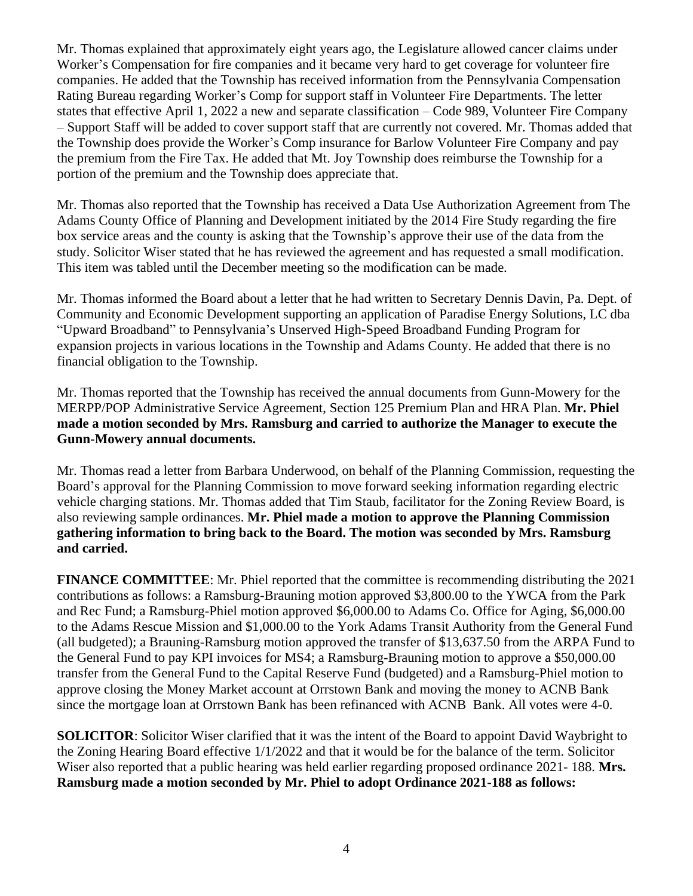Mr. Thomas explained that approximately eight years ago, the Legislature allowed cancer claims under Worker's Compensation for fire companies and it became very hard to get coverage for volunteer fire companies. He added that the Township has received information from the Pennsylvania Compensation Rating Bureau regarding Worker's Comp for support staff in Volunteer Fire Departments. The letter states that effective April 1, 2022 a new and separate classification – Code 989, Volunteer Fire Company – Support Staff will be added to cover support staff that are currently not covered. Mr. Thomas added that the Township does provide the Worker's Comp insurance for Barlow Volunteer Fire Company and pay the premium from the Fire Tax. He added that Mt. Joy Township does reimburse the Township for a portion of the premium and the Township does appreciate that.

Mr. Thomas also reported that the Township has received a Data Use Authorization Agreement from The Adams County Office of Planning and Development initiated by the 2014 Fire Study regarding the fire box service areas and the county is asking that the Township's approve their use of the data from the study. Solicitor Wiser stated that he has reviewed the agreement and has requested a small modification. This item was tabled until the December meeting so the modification can be made.

Mr. Thomas informed the Board about a letter that he had written to Secretary Dennis Davin, Pa. Dept. of Community and Economic Development supporting an application of Paradise Energy Solutions, LC dba "Upward Broadband" to Pennsylvania's Unserved High-Speed Broadband Funding Program for expansion projects in various locations in the Township and Adams County. He added that there is no financial obligation to the Township.

Mr. Thomas reported that the Township has received the annual documents from Gunn-Mowery for the MERPP/POP Administrative Service Agreement, Section 125 Premium Plan and HRA Plan. **Mr. Phiel made a motion seconded by Mrs. Ramsburg and carried to authorize the Manager to execute the Gunn-Mowery annual documents.** 

Mr. Thomas read a letter from Barbara Underwood, on behalf of the Planning Commission, requesting the Board's approval for the Planning Commission to move forward seeking information regarding electric vehicle charging stations. Mr. Thomas added that Tim Staub, facilitator for the Zoning Review Board, is also reviewing sample ordinances. **Mr. Phiel made a motion to approve the Planning Commission gathering information to bring back to the Board. The motion was seconded by Mrs. Ramsburg and carried.**

**FINANCE COMMITTEE:** Mr. Phiel reported that the committee is recommending distributing the 2021 contributions as follows: a Ramsburg-Brauning motion approved \$3,800.00 to the YWCA from the Park and Rec Fund; a Ramsburg-Phiel motion approved \$6,000.00 to Adams Co. Office for Aging, \$6,000.00 to the Adams Rescue Mission and \$1,000.00 to the York Adams Transit Authority from the General Fund (all budgeted); a Brauning-Ramsburg motion approved the transfer of \$13,637.50 from the ARPA Fund to the General Fund to pay KPI invoices for MS4; a Ramsburg-Brauning motion to approve a \$50,000.00 transfer from the General Fund to the Capital Reserve Fund (budgeted) and a Ramsburg-Phiel motion to approve closing the Money Market account at Orrstown Bank and moving the money to ACNB Bank since the mortgage loan at Orrstown Bank has been refinanced with ACNB Bank. All votes were 4-0.

**SOLICITOR**: Solicitor Wiser clarified that it was the intent of the Board to appoint David Waybright to the Zoning Hearing Board effective 1/1/2022 and that it would be for the balance of the term. Solicitor Wiser also reported that a public hearing was held earlier regarding proposed ordinance 2021- 188. **Mrs. Ramsburg made a motion seconded by Mr. Phiel to adopt Ordinance 2021-188 as follows:**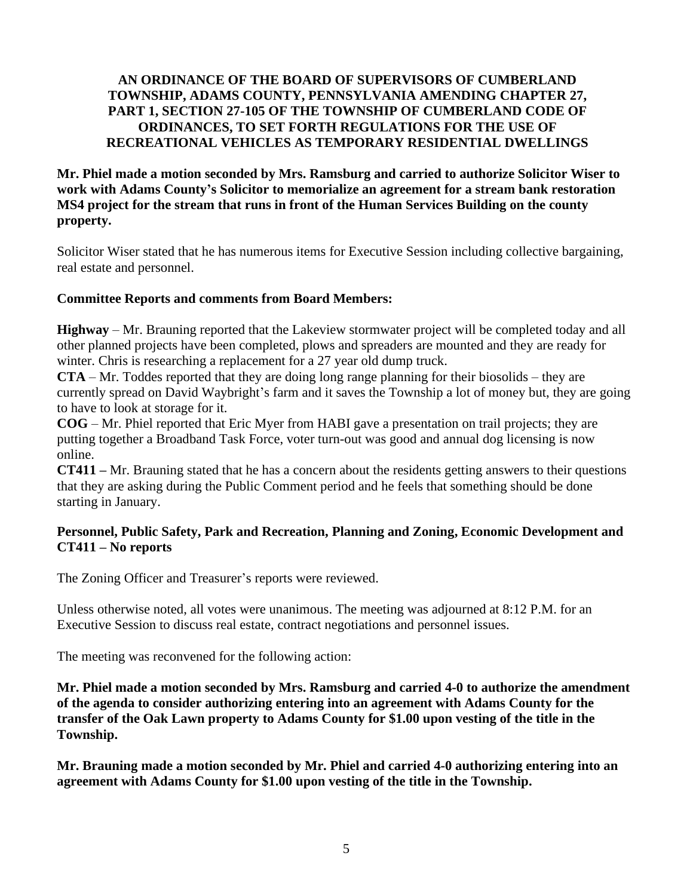## **AN ORDINANCE OF THE BOARD OF SUPERVISORS OF CUMBERLAND TOWNSHIP, ADAMS COUNTY, PENNSYLVANIA AMENDING CHAPTER 27, PART 1, SECTION 27-105 OF THE TOWNSHIP OF CUMBERLAND CODE OF ORDINANCES, TO SET FORTH REGULATIONS FOR THE USE OF RECREATIONAL VEHICLES AS TEMPORARY RESIDENTIAL DWELLINGS**

**Mr. Phiel made a motion seconded by Mrs. Ramsburg and carried to authorize Solicitor Wiser to work with Adams County's Solicitor to memorialize an agreement for a stream bank restoration MS4 project for the stream that runs in front of the Human Services Building on the county property.**

Solicitor Wiser stated that he has numerous items for Executive Session including collective bargaining, real estate and personnel.

# **Committee Reports and comments from Board Members:**

**Highway** – Mr. Brauning reported that the Lakeview stormwater project will be completed today and all other planned projects have been completed, plows and spreaders are mounted and they are ready for winter. Chris is researching a replacement for a 27 year old dump truck.

**CTA** – Mr. Toddes reported that they are doing long range planning for their biosolids – they are currently spread on David Waybright's farm and it saves the Township a lot of money but, they are going to have to look at storage for it.

**COG** – Mr. Phiel reported that Eric Myer from HABI gave a presentation on trail projects; they are putting together a Broadband Task Force, voter turn-out was good and annual dog licensing is now online.

**CT411 –** Mr. Brauning stated that he has a concern about the residents getting answers to their questions that they are asking during the Public Comment period and he feels that something should be done starting in January.

# **Personnel, Public Safety, Park and Recreation, Planning and Zoning, Economic Development and CT411 – No reports**

The Zoning Officer and Treasurer's reports were reviewed.

Unless otherwise noted, all votes were unanimous. The meeting was adjourned at 8:12 P.M. for an Executive Session to discuss real estate, contract negotiations and personnel issues.

The meeting was reconvened for the following action:

**Mr. Phiel made a motion seconded by Mrs. Ramsburg and carried 4-0 to authorize the amendment of the agenda to consider authorizing entering into an agreement with Adams County for the transfer of the Oak Lawn property to Adams County for \$1.00 upon vesting of the title in the Township.** 

**Mr. Brauning made a motion seconded by Mr. Phiel and carried 4-0 authorizing entering into an agreement with Adams County for \$1.00 upon vesting of the title in the Township.**